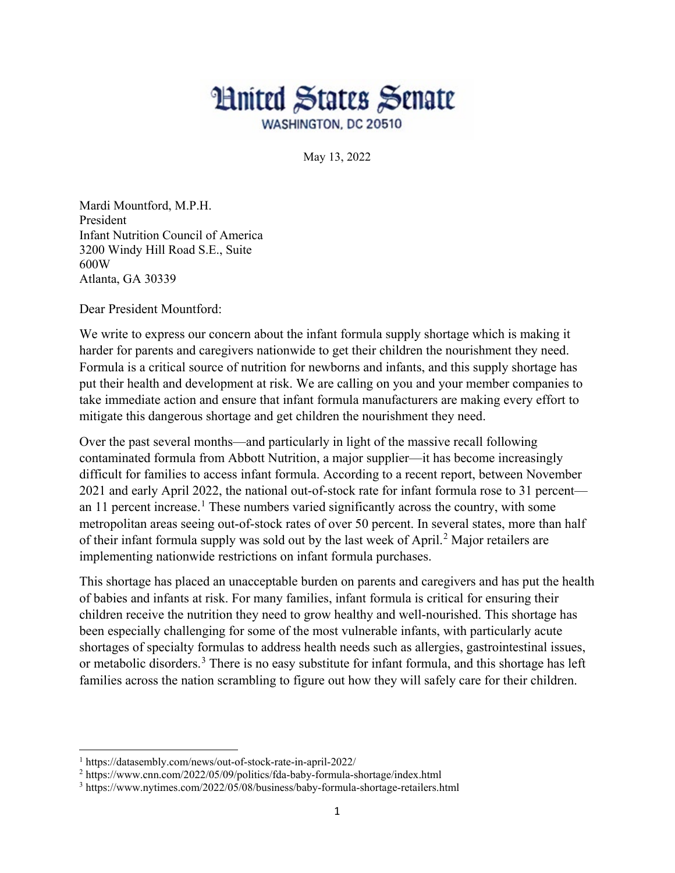

May 13, 2022

Mardi Mountford, M.P.H. President Infant Nutrition Council of America 3200 Windy Hill Road S.E., Suite 600W Atlanta, GA 30339

Dear President Mountford:

We write to express our concern about the infant formula supply shortage which is making it harder for parents and caregivers nationwide to get their children the nourishment they need. Formula is a critical source of nutrition for newborns and infants, and this supply shortage has put their health and development at risk. We are calling on you and your member companies to take immediate action and ensure that infant formula manufacturers are making every effort to mitigate this dangerous shortage and get children the nourishment they need.

Over the past several months—and particularly in light of the massive recall following contaminated formula from Abbott Nutrition, a major supplier—it has become increasingly difficult for families to access infant formula. According to a recent report, between November 2021 and early April 2022, the national out-of-stock rate for infant formula rose to 31 percent— an [1](#page-0-0)1 percent increase.<sup>1</sup> These numbers varied significantly across the country, with some metropolitan areas seeing out-of-stock rates of over 50 percent. In several states, more than half of their infant formula supply was sold out by the last week of April.[2](#page-0-1) Major retailers are implementing nationwide restrictions on infant formula purchases.

This shortage has placed an unacceptable burden on parents and caregivers and has put the health of babies and infants at risk. For many families, infant formula is critical for ensuring their children receive the nutrition they need to grow healthy and well-nourished. This shortage has been especially challenging for some of the most vulnerable infants, with particularly acute shortages of specialty formulas to address health needs such as allergies, gastrointestinal issues, or metabolic disorders.<sup>[3](#page-0-2)</sup> There is no easy substitute for infant formula, and this shortage has left families across the nation scrambling to figure out how they will safely care for their children.

 $\overline{a}$ 

<span id="page-0-0"></span><sup>1</sup> https://datasembly.com/news/out-of-stock-rate-in-april-2022/

<span id="page-0-1"></span><sup>2</sup> https://www.cnn.com/2022/05/09/politics/fda-baby-formula-shortage/index.html

<span id="page-0-2"></span><sup>3</sup> https://www.nytimes.com/2022/05/08/business/baby-formula-shortage-retailers.html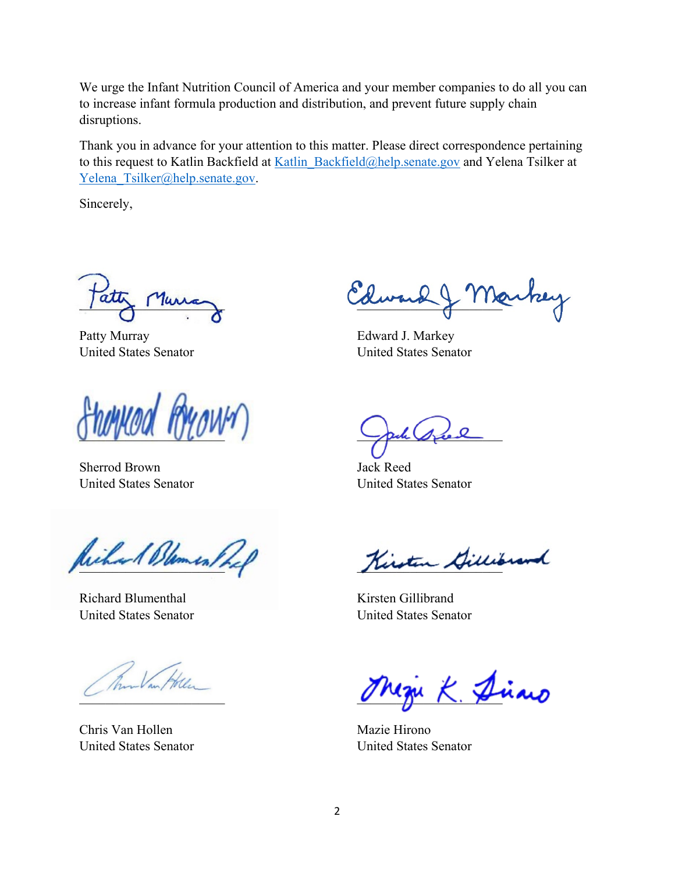We urge the Infant Nutrition Council of America and your member companies to do all you can to increase infant formula production and distribution, and prevent future supply chain disruptions.

Thank you in advance for your attention to this matter. Please direct correspondence pertaining to this request to Katlin Backfield at Katlin Backfield@help.senate.gov and Yelena Tsilker at Yelena Tsilker@help.senate.gov.

Sincerely,

 $\mu$ 

Patty Murray United States Senator

 $Jw$  ,  $ww$ 

Sherrod Brown United States Senator

Richard Blement

Richard Blumenthal United States Senator

 $\overline{\phantom{a}}$ 

Chris Van Hollen United States Senator

Edward & Markey

Edward J. Markey United States Senator

pul see 2

Jack Reed United States Senator

Kirsten Gillibrand

Kirsten Gillibrand United States Senator

 $k$ . Die

Mazie Hirono United States Senator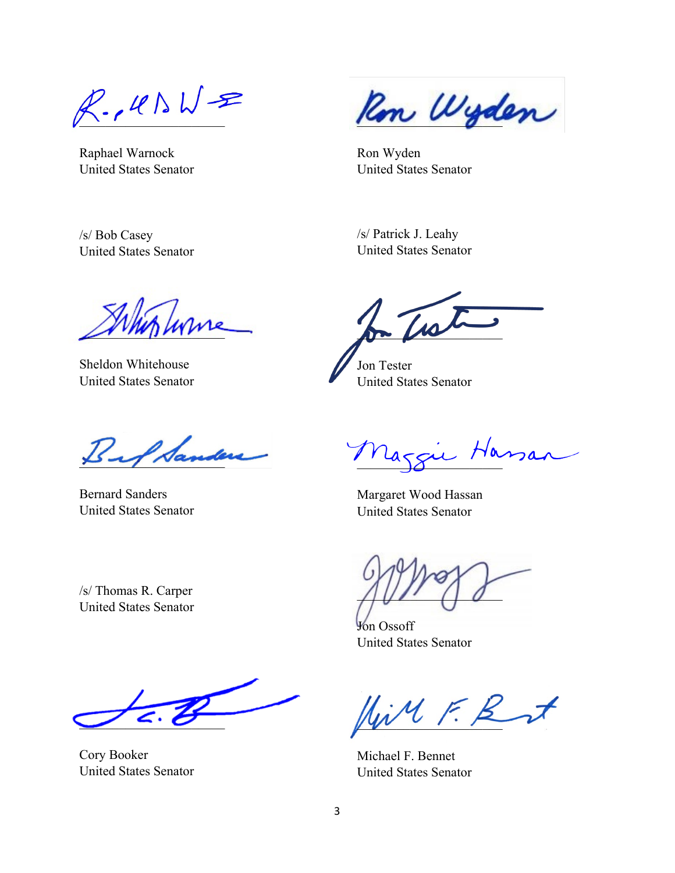$R.\mu N$ 

Raphael Warnock United States Senator

United States Senator

/s/ Bob Casey

Ron Wyden

Ron Wyden United States Senator

/s/ Patrick J. Leahy United States Senator

 $\mathscr{L}$ 

Sheldon Whitehouse United States Senator

Bef Sanders

Bernard Sanders United States Senator

/s/ Thomas R. Carper United States Senator

 $\overline{\phantom{a}}$ 

Cory Booker United States Senator

 $\mathcal{I}$ 

Jon Tester United States Senator

Mazgie Hassan

Margaret Wood Hassan United States Senator

 $\bigcap \bigcup \bigcap \bigcap$ 

Jon Ossoff United States Senator

 $\mathbb{N}M$  F. R at

Michael F. Bennet United States Senator